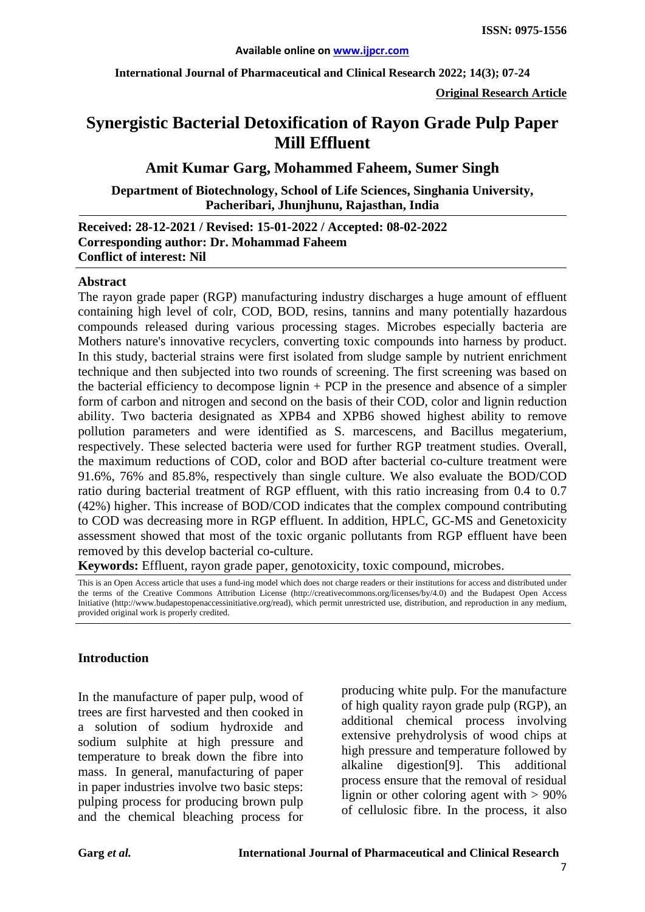**International Journal of Pharmaceutical and Clinical Research 2022; 14(3); 07-24**

**Original Research Article**

# **Synergistic Bacterial Detoxification of Rayon Grade Pulp Paper Mill Effluent**

#### **Amit Kumar Garg, Mohammed Faheem, Sumer Singh**

#### **Department of Biotechnology, School of Life Sciences, Singhania University, Pacheribari, Jhunjhunu, Rajasthan, India**

#### **Received: 28-12-2021 / Revised: 15-01-2022 / Accepted: 08-02-2022 Corresponding author: Dr. Mohammad Faheem Conflict of interest: Nil**

#### **Abstract**

The rayon grade paper (RGP) manufacturing industry discharges a huge amount of effluent containing high level of colr, COD, BOD, resins, tannins and many potentially hazardous compounds released during various processing stages. Microbes especially bacteria are Mothers nature's innovative recyclers, converting toxic compounds into harness by product. In this study, bacterial strains were first isolated from sludge sample by nutrient enrichment technique and then subjected into two rounds of screening. The first screening was based on the bacterial efficiency to decompose lignin + PCP in the presence and absence of a simpler form of carbon and nitrogen and second on the basis of their COD, color and lignin reduction ability. Two bacteria designated as XPB4 and XPB6 showed highest ability to remove pollution parameters and were identified as S. marcescens, and Bacillus megaterium, respectively. These selected bacteria were used for further RGP treatment studies. Overall, the maximum reductions of COD, color and BOD after bacterial co-culture treatment were 91.6%, 76% and 85.8%, respectively than single culture. We also evaluate the BOD/COD ratio during bacterial treatment of RGP effluent, with this ratio increasing from 0.4 to 0.7 (42%) higher. This increase of BOD/COD indicates that the complex compound contributing to COD was decreasing more in RGP effluent. In addition, HPLC, GC-MS and Genetoxicity assessment showed that most of the toxic organic pollutants from RGP effluent have been removed by this develop bacterial co-culture.

**Keywords:** Effluent, rayon grade paper, genotoxicity, toxic compound, microbes.

This is an Open Access article that uses a fund-ing model which does not charge readers or their institutions for access and distributed under the terms of the Creative Commons Attribution License (http://creativecommons.org/licenses/by/4.0) and the Budapest Open Access Initiative (http://www.budapestopenaccessinitiative.org/read), which permit unrestricted use, distribution, and reproduction in any medium, provided original work is properly credited.

#### **Introduction**

In the manufacture of paper pulp, wood of trees are first harvested and then cooked in a solution of sodium hydroxide and sodium sulphite at high pressure and temperature to break down the fibre into mass. In general, manufacturing of paper in paper industries involve two basic steps: pulping process for producing brown pulp and the chemical bleaching process for producing white pulp. For the manufacture of high quality rayon grade pulp (RGP), an additional chemical process involving extensive prehydrolysis of wood chips at high pressure and temperature followed by alkaline digestion[9]. This additional process ensure that the removal of residual lignin or other coloring agent with  $> 90\%$ of cellulosic fibre. In the process, it also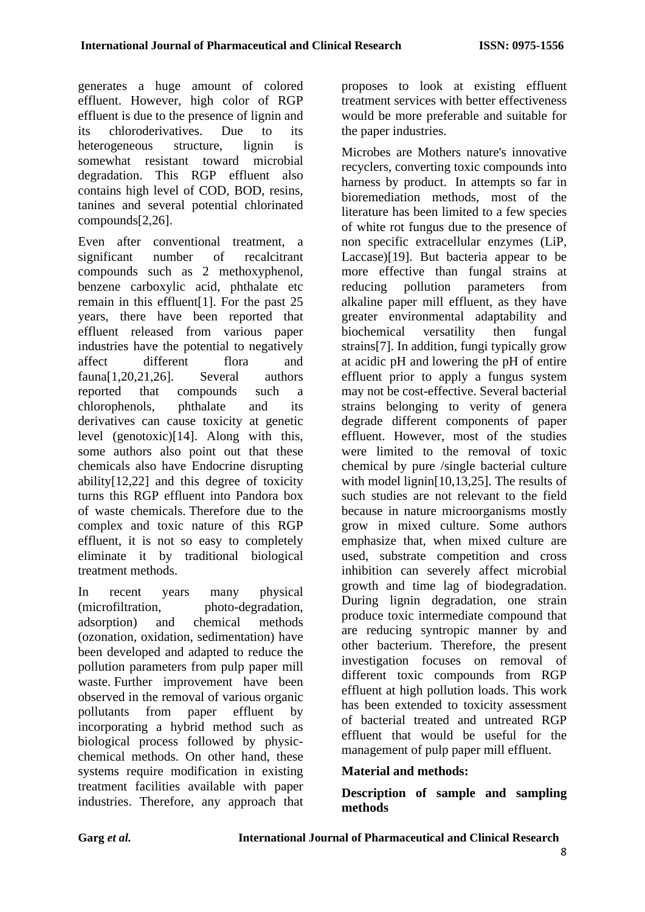generates a huge amount of colored effluent. However, high color of RGP effluent is due to the presence of lignin and its chloroderivatives. Due to its heterogeneous structure, lignin is somewhat resistant toward microbial degradation. This RGP effluent also contains high level of COD, BOD, resins, tanines and several potential chlorinated compounds[2,26].

Even after conventional treatment, a significant number of recalcitrant compounds such as 2 methoxyphenol, benzene carboxylic acid, phthalate etc remain in this effluent[1]. For the past 25 years, there have been reported that effluent released from various paper industries have the potential to negatively affect different flora and fauna[1,20,21,26]. Several authors reported that compounds such a chlorophenols, phthalate and its derivatives can cause toxicity at genetic level (genotoxic)[14]. Along with this, some authors also point out that these chemicals also have Endocrine disrupting ability[12,22] and this degree of toxicity turns this RGP effluent into Pandora box of waste chemicals. Therefore due to the complex and toxic nature of this RGP effluent, it is not so easy to completely eliminate it by traditional biological treatment methods.

In recent years many physical (microfiltration, photo-degradation, adsorption) and chemical methods (ozonation, oxidation, sedimentation) have been developed and adapted to reduce the pollution parameters from pulp paper mill waste. Further improvement have been observed in the removal of various organic pollutants from paper effluent by incorporating a hybrid method such as biological process followed by physicchemical methods. On other hand, these systems require modification in existing treatment facilities available with paper industries. Therefore, any approach that proposes to look at existing effluent treatment services with better effectiveness would be more preferable and suitable for the paper industries.

Microbes are Mothers nature's innovative recyclers, converting toxic compounds into harness by product. In attempts so far in bioremediation methods, most of the literature has been limited to a few species of white rot fungus due to the presence of non specific extracellular enzymes (LiP, Laccase)[19]. But bacteria appear to be more effective than fungal strains at reducing pollution parameters from alkaline paper mill effluent, as they have greater environmental adaptability and biochemical versatility then fungal strains[7]. In addition, fungi typically grow at acidic pH and lowering the pH of entire effluent prior to apply a fungus system may not be cost-effective. Several bacterial strains belonging to verity of genera degrade different components of paper effluent. However, most of the studies were limited to the removal of toxic chemical by pure /single bacterial culture with model lignin<sup>[10,13,25]</sup>. The results of such studies are not relevant to the field because in nature microorganisms mostly grow in mixed culture. Some authors emphasize that, when mixed culture are used, substrate competition and cross inhibition can severely affect microbial growth and time lag of biodegradation. During lignin degradation, one strain produce toxic intermediate compound that are reducing syntropic manner by and other bacterium. Therefore, the present investigation focuses on removal of different toxic compounds from RGP effluent at high pollution loads. This work has been extended to toxicity assessment of bacterial treated and untreated RGP effluent that would be useful for the management of pulp paper mill effluent.

### **Material and methods:**

**Description of sample and sampling methods**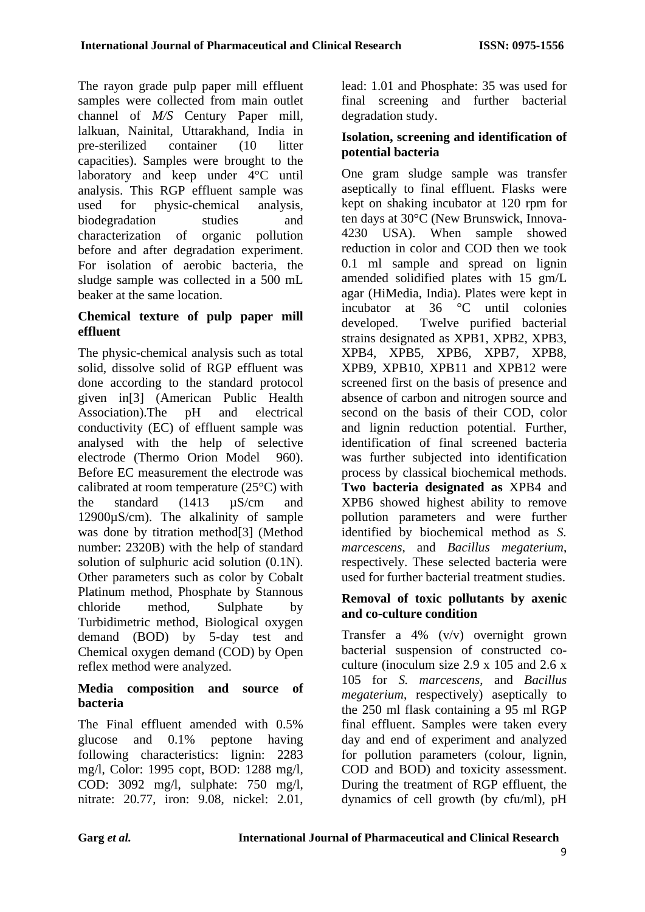The rayon grade pulp paper mill effluent samples were collected from main outlet channel of *M/S* Century Paper mill, lalkuan, Nainital, Uttarakhand, India in pre-sterilized container (10 litter capacities). Samples were brought to the laboratory and keep under 4°C until analysis. This RGP effluent sample was used for physic-chemical analysis, biodegradation studies and characterization of organic pollution before and after degradation experiment. For isolation of aerobic bacteria, the sludge sample was collected in a 500 mL beaker at the same location.

## **Chemical texture of pulp paper mill effluent**

The physic-chemical analysis such as total solid, dissolve solid of RGP effluent was done according to the standard protocol given in[3] (American Public Health Association).The pH and electrical conductivity (EC) of effluent sample was analysed with the help of selective electrode (Thermo Orion Model 960). Before EC measurement the electrode was calibrated at room temperature (25°C) with the standard (1413 µS/cm and 12900µS/cm). The alkalinity of sample was done by titration method[3] (Method number: 2320B) with the help of standard solution of sulphuric acid solution (0.1N). Other parameters such as color by Cobalt Platinum method, Phosphate by Stannous chloride method, Sulphate by Turbidimetric method, Biological oxygen demand (BOD) by 5-day test and Chemical oxygen demand (COD) by Open reflex method were analyzed.

#### **Media composition and source of bacteria**

The Final effluent amended with 0.5% glucose and 0.1% peptone having following characteristics: lignin: 2283 mg/l, Color: 1995 copt, BOD: 1288 mg/l, COD: 3092 mg/l, sulphate: 750 mg/l, nitrate: 20.77, iron: 9.08, nickel: 2.01, lead: 1.01 and Phosphate: 35 was used for final screening and further bacterial degradation study.

### **Isolation, screening and identification of potential bacteria**

One gram sludge sample was transfer aseptically to final effluent. Flasks were kept on shaking incubator at 120 rpm for ten days at 30°C (New Brunswick, Innova-4230 USA). When sample showed reduction in color and COD then we took 0.1 ml sample and spread on lignin amended solidified plates with 15 gm/L agar (HiMedia, India). Plates were kept in incubator at 36 °C until colonies developed. Twelve purified bacterial strains designated as XPB1, XPB2, XPB3, XPB4, XPB5, XPB6, XPB7, XPB8, XPB9, XPB10, XPB11 and XPB12 were screened first on the basis of presence and absence of carbon and nitrogen source and second on the basis of their COD, color and lignin reduction potential. Further, identification of final screened bacteria was further subjected into identification process by classical biochemical methods. **Two bacteria designated as** XPB4 and XPB6 showed highest ability to remove pollution parameters and were further identified by biochemical method as *S. marcescens*, and *Bacillus megaterium*, respectively. These selected bacteria were used for further bacterial treatment studies.

### **Removal of toxic pollutants by axenic and co-culture condition**

Transfer a 4% (v/v) overnight grown bacterial suspension of constructed coculture (inoculum size 2.9 x 105 and 2.6 x 105 for *S. marcescens*, and *Bacillus megaterium*, respectively) aseptically to the 250 ml flask containing a 95 ml RGP final effluent. Samples were taken every day and end of experiment and analyzed for pollution parameters (colour, lignin, COD and BOD) and toxicity assessment. During the treatment of RGP effluent, the dynamics of cell growth (by cfu/ml), pH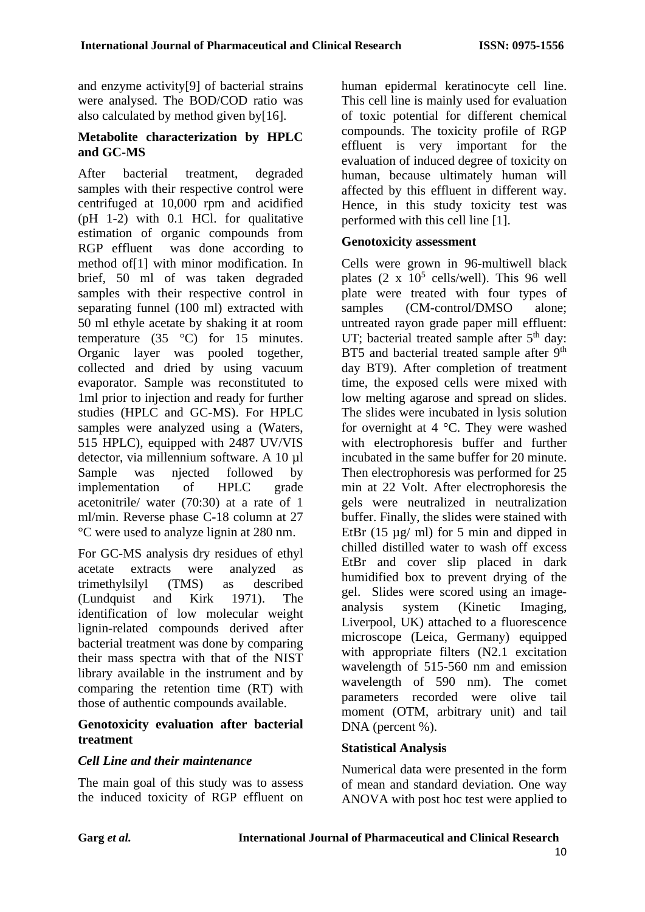and enzyme activity[9] of bacterial strains were analysed. The BOD/COD ratio was also calculated by method given by[16].

### **Metabolite characterization by HPLC and GC-MS**

After bacterial treatment, degraded samples with their respective control were centrifuged at 10,000 rpm and acidified (pH 1-2) with 0.1 HCl. for qualitative estimation of organic compounds from RGP effluent was done according to method of[1] with minor modification. In brief, 50 ml of was taken degraded samples with their respective control in separating funnel (100 ml) extracted with 50 ml ethyle acetate by shaking it at room temperature  $(35 \degree C)$  for 15 minutes. Organic layer was pooled together, collected and dried by using vacuum evaporator. Sample was reconstituted to 1ml prior to injection and ready for further studies (HPLC and GC-MS). For HPLC samples were analyzed using a (Waters, 515 HPLC), equipped with 2487 UV/VIS detector, via millennium software. A 10 µl Sample was njected followed by implementation of HPLC grade acetonitrile/ water (70:30) at a rate of 1 ml/min. Reverse phase C-18 column at 27 °C were used to analyze lignin at 280 nm.

For GC-MS analysis dry residues of ethyl acetate extracts were analyzed as trimethylsilyl (TMS) as described (Lundquist and Kirk 1971). The identification of low molecular weight lignin-related compounds derived after bacterial treatment was done by comparing their mass spectra with that of the NIST library available in the instrument and by comparing the retention time (RT) with those of authentic compounds available.

### **Genotoxicity evaluation after bacterial treatment**

### *Cell Line and their maintenance*

The main goal of this study was to assess the induced toxicity of RGP effluent on human epidermal keratinocyte cell line. This cell line is mainly used for evaluation of toxic potential for different chemical compounds. The toxicity profile of RGP effluent is very important for the evaluation of induced degree of toxicity on human, because ultimately human will affected by this effluent in different way. Hence, in this study toxicity test was performed with this cell line [1].

#### **Genotoxicity assessment**

Cells were grown in 96-multiwell black plates  $(2 \times 10^5 \text{ cells/well})$ . This 96 well plate were treated with four types of samples (CM-control/DMSO alone; untreated rayon grade paper mill effluent: UT; bacterial treated sample after  $5<sup>th</sup>$  day: BT5 and bacterial treated sample after 9<sup>th</sup> day BT9). After completion of treatment time, the exposed cells were mixed with low melting agarose and spread on slides. The slides were incubated in lysis solution for overnight at  $4^{\circ}$ C. They were washed with electrophoresis buffer and further incubated in the same buffer for 20 minute. Then electrophoresis was performed for 25 min at 22 Volt. After electrophoresis the gels were neutralized in neutralization buffer. Finally, the slides were stained with EtBr  $(15 \mu g/mol)$  for 5 min and dipped in chilled distilled water to wash off excess EtBr and cover slip placed in dark humidified box to prevent drying of the gel. Slides were scored using an imageanalysis system (Kinetic Imaging, Liverpool, UK) attached to a fluorescence microscope (Leica, Germany) equipped with appropriate filters (N2.1 excitation wavelength of 515-560 nm and emission wavelength of 590 nm). The comet parameters recorded were olive tail moment (OTM, arbitrary unit) and tail DNA (percent %).

### **Statistical Analysis**

Numerical data were presented in the form of mean and standard deviation. One way ANOVA with post hoc test were applied to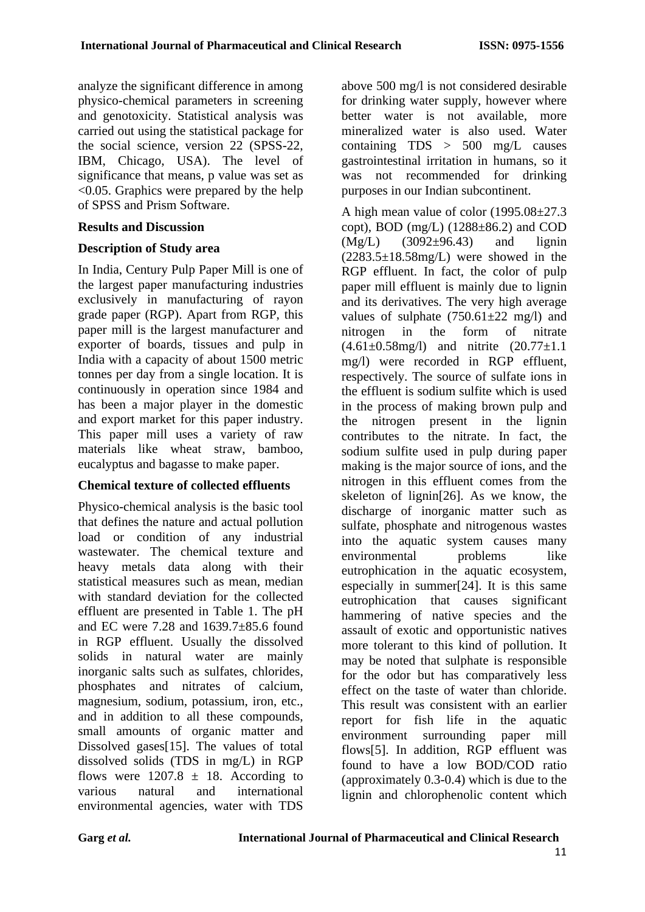analyze the significant difference in among physico-chemical parameters in screening and genotoxicity. Statistical analysis was carried out using the statistical package for the social science, version 22 (SPSS-22, IBM, Chicago, USA). The level of significance that means, p value was set as <0.05. Graphics were prepared by the help of SPSS and Prism Software.

#### **Results and Discussion**

### **Description of Study area**

In India, Century Pulp Paper Mill is one of the largest paper manufacturing industries exclusively in manufacturing of rayon grade paper (RGP). Apart from RGP, this paper mill is the largest manufacturer and exporter of boards, tissues and pulp in India with a capacity of about 1500 metric tonnes per day from a single location. It is continuously in operation since 1984 and has been a major player in the domestic and export market for this paper industry. This paper mill uses a variety of raw materials like wheat straw, bamboo, eucalyptus and bagasse to make paper.

### **Chemical texture of collected effluents**

Physico-chemical analysis is the basic tool that defines the nature and actual pollution load or condition of any industrial wastewater. The chemical texture and heavy metals data along with their statistical measures such as mean, median with standard deviation for the collected effluent are presented in Table 1. The pH and EC were 7.28 and 1639.7±85.6 found in RGP effluent. Usually the dissolved solids in natural water are mainly inorganic salts such as sulfates, chlorides, phosphates and nitrates of calcium, magnesium, sodium, potassium, iron, etc., and in addition to all these compounds, small amounts of organic matter and Dissolved gases[15]. The values of total dissolved solids (TDS in mg/L) in RGP flows were  $1207.8 \pm 18$ . According to various natural and international environmental agencies, water with TDS

above 500 mg/l is not considered desirable for drinking water supply, however where better water is not available, more mineralized water is also used. Water containing TDS > 500 mg/L causes gastrointestinal irritation in humans, so it was not recommended for drinking purposes in our Indian subcontinent.

A high mean value of color (1995.08±27.3 copt), BOD (mg/L)  $(1288\pm86.2)$  and COD  $(Mg/L)$  (3092±96.43) and lignin  $(2283.5\pm18.58$ mg/L) were showed in the RGP effluent. In fact, the color of pulp paper mill effluent is mainly due to lignin and its derivatives. The very high average values of sulphate  $(750.61 \pm 22 \text{ mg/l})$  and nitrogen in the form of nitrate  $(4.61\pm0.58mg/l)$  and nitrite  $(20.77\pm1.1)$ mg/l) were recorded in RGP effluent, respectively. The source of sulfate ions in the effluent is sodium sulfite which is used in the process of making brown pulp and the nitrogen present in the lignin contributes to the nitrate. In fact, the sodium sulfite used in pulp during paper making is the major source of ions, and the nitrogen in this effluent comes from the skeleton of lignin[26]. As we know, the discharge of inorganic matter such as sulfate, phosphate and nitrogenous wastes into the aquatic system causes many environmental problems like eutrophication in the aquatic ecosystem, especially in summer[24]. It is this same eutrophication that causes significant hammering of native species and the assault of exotic and opportunistic natives more tolerant to this kind of pollution. It may be noted that sulphate is responsible for the odor but has comparatively less effect on the taste of water than chloride. This result was consistent with an earlier report for fish life in the aquatic environment surrounding paper mill flows[5]. In addition, RGP effluent was found to have a low BOD/COD ratio (approximately 0.3-0.4) which is due to the lignin and chlorophenolic content which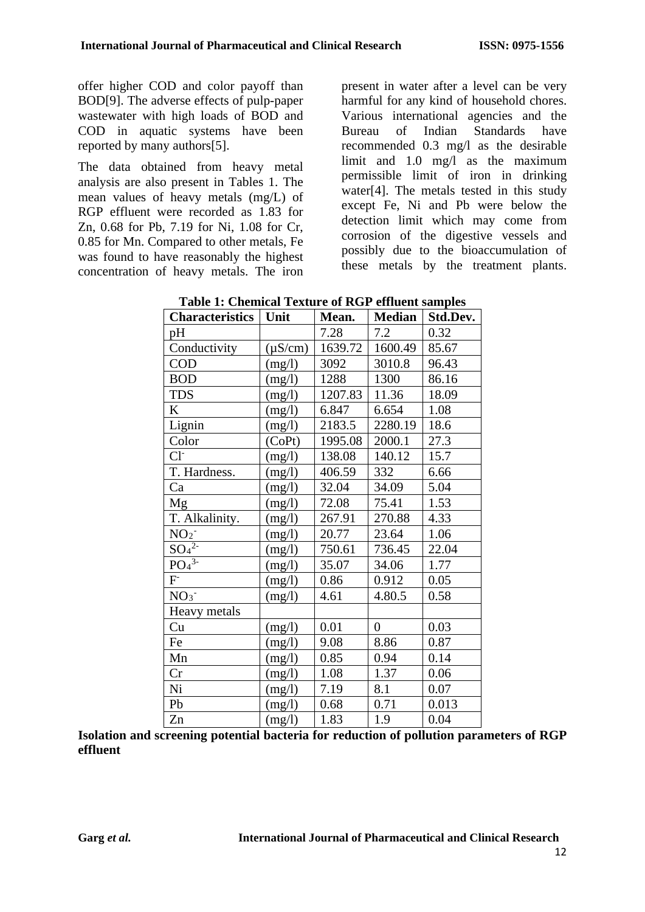offer higher COD and color payoff than BOD[9]. The adverse effects of pulp-paper wastewater with high loads of BOD and COD in aquatic systems have been reported by many authors[5].

The data obtained from heavy metal analysis are also present in Tables 1. The mean values of heavy metals (mg/L) of RGP effluent were recorded as 1.83 for Zn, 0.68 for Pb, 7.19 for Ni, 1.08 for Cr, 0.85 for Mn. Compared to other metals, Fe was found to have reasonably the highest concentration of heavy metals. The iron

present in water after a level can be very harmful for any kind of household chores. Various international agencies and the Bureau of Indian Standards have recommended 0.3 mg/l as the desirable limit and 1.0 mg/l as the maximum permissible limit of iron in drinking water[4]. The metals tested in this study except Fe, Ni and Pb were below the detection limit which may come from corrosion of the digestive vessels and possibly due to the bioaccumulation of these metals by the treatment plants.

| <b>Characteristics</b> | Unit         | Mean.   | <b>Median</b>  | Std.Dev. |
|------------------------|--------------|---------|----------------|----------|
| pH                     |              | 7.28    | 7.2            | 0.32     |
| Conductivity           | $(\mu S/cm)$ | 1639.72 | 1600.49        | 85.67    |
| <b>COD</b>             | (mg/l)       | 3092    | 3010.8         | 96.43    |
| <b>BOD</b>             | (mg/l)       | 1288    | 1300           | 86.16    |
| <b>TDS</b>             | (mg/l)       | 1207.83 | 11.36          | 18.09    |
| K                      | (mg/l)       | 6.847   | 6.654          | 1.08     |
| Lignin                 | (mg/l)       | 2183.5  | 2280.19        | 18.6     |
| Color                  | (CoPt)       | 1995.08 | 2000.1         | 27.3     |
| $Cl-$                  | (mg/l)       | 138.08  | 140.12         | 15.7     |
| T. Hardness.           | (mg/l)       | 406.59  | 332            | 6.66     |
| Ca                     | (mg/l)       | 32.04   | 34.09          | 5.04     |
| Mg                     | (mg/l)       | 72.08   | 75.41          | 1.53     |
| T. Alkalinity.         | (mg/l)       | 267.91  | 270.88         | 4.33     |
| NO <sub>2</sub>        | (mg/l)       | 20.77   | 23.64          | 1.06     |
| $SO_4^2$               | (mg/l)       | 750.61  | 736.45         | 22.04    |
| $PO4^{\overline{3}}$   | (mg/l)       | 35.07   | 34.06          | 1.77     |
| $F^{\dagger}$          | (mg/l)       | 0.86    | 0.912          | 0.05     |
| NO <sub>3</sub>        | (mg/l)       | 4.61    | 4.80.5         | 0.58     |
| Heavy metals           |              |         |                |          |
| Cu                     | (mg/l)       | 0.01    | $\overline{0}$ | 0.03     |
| Fe                     | (mg/l)       | 9.08    | 8.86           | 0.87     |
| Mn                     | (mg/l)       | 0.85    | 0.94           | 0.14     |
| Cr                     | (mg/l)       | 1.08    | 1.37           | 0.06     |
| Ni                     | (mg/l)       | 7.19    | 8.1            | 0.07     |
| Pb                     | (mg/l)       | 0.68    | 0.71           | 0.013    |
| Zn                     | (mg/l)       | 1.83    | 1.9            | 0.04     |

| <b>Table 1: Chemical Texture of RGP effluent samples</b> |  |  |
|----------------------------------------------------------|--|--|
|----------------------------------------------------------|--|--|

**Isolation and screening potential bacteria for reduction of pollution parameters of RGP effluent**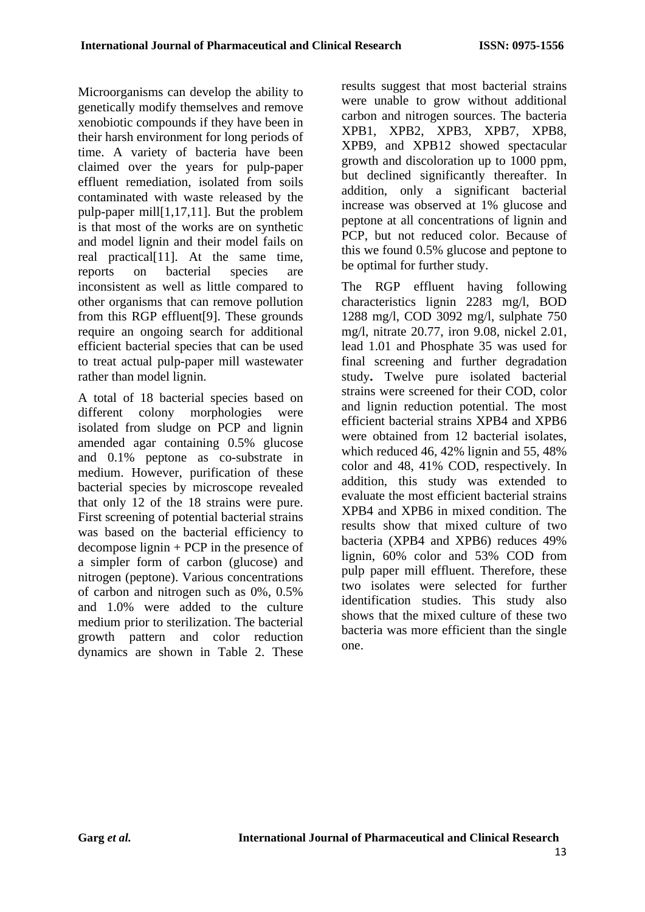Microorganisms can develop the ability to genetically modify themselves and remove xenobiotic compounds if they have been in their harsh environment for long periods of time. A variety of bacteria have been claimed over the years for pulp-paper effluent remediation, isolated from soils contaminated with waste released by the pulp-paper mill[1,17,11]. But the problem is that most of the works are on synthetic and model lignin and their model fails on real practical<sup>[11]</sup>. At the same time, reports on bacterial species are inconsistent as well as little compared to other organisms that can remove pollution from this RGP effluent[9]. These grounds require an ongoing search for additional efficient bacterial species that can be used to treat actual pulp-paper mill wastewater rather than model lignin.

A total of 18 bacterial species based on different colony morphologies were isolated from sludge on PCP and lignin amended agar containing 0.5% glucose and 0.1% peptone as co-substrate in medium. However, purification of these bacterial species by microscope revealed that only 12 of the 18 strains were pure. First screening of potential bacterial strains was based on the bacterial efficiency to decompose lignin + PCP in the presence of a simpler form of carbon (glucose) and nitrogen (peptone). Various concentrations of carbon and nitrogen such as 0%, 0.5% and 1.0% were added to the culture medium prior to sterilization. The bacterial growth pattern and color reduction dynamics are shown in Table 2. These

results suggest that most bacterial strains were unable to grow without additional carbon and nitrogen sources. The bacteria XPB1, XPB2, XPB3, XPB7, XPB8, XPB9, and XPB12 showed spectacular growth and discoloration up to 1000 ppm, but declined significantly thereafter. In addition, only a significant bacterial increase was observed at 1% glucose and peptone at all concentrations of lignin and PCP, but not reduced color. Because of this we found 0.5% glucose and peptone to be optimal for further study.

The RGP effluent having following characteristics lignin 2283 mg/l, BOD 1288 mg/l, COD 3092 mg/l, sulphate 750 mg/l, nitrate 20.77, iron 9.08, nickel 2.01, lead 1.01 and Phosphate 35 was used for final screening and further degradation study**.** Twelve pure isolated bacterial strains were screened for their COD, color and lignin reduction potential. The most efficient bacterial strains XPB4 and XPB6 were obtained from 12 bacterial isolates. which reduced 46, 42% lignin and 55, 48% color and 48, 41% COD, respectively. In addition, this study was extended to evaluate the most efficient bacterial strains XPB4 and XPB6 in mixed condition. The results show that mixed culture of two bacteria (XPB4 and XPB6) reduces 49% lignin, 60% color and 53% COD from pulp paper mill effluent. Therefore, these two isolates were selected for further identification studies. This study also shows that the mixed culture of these two bacteria was more efficient than the single one.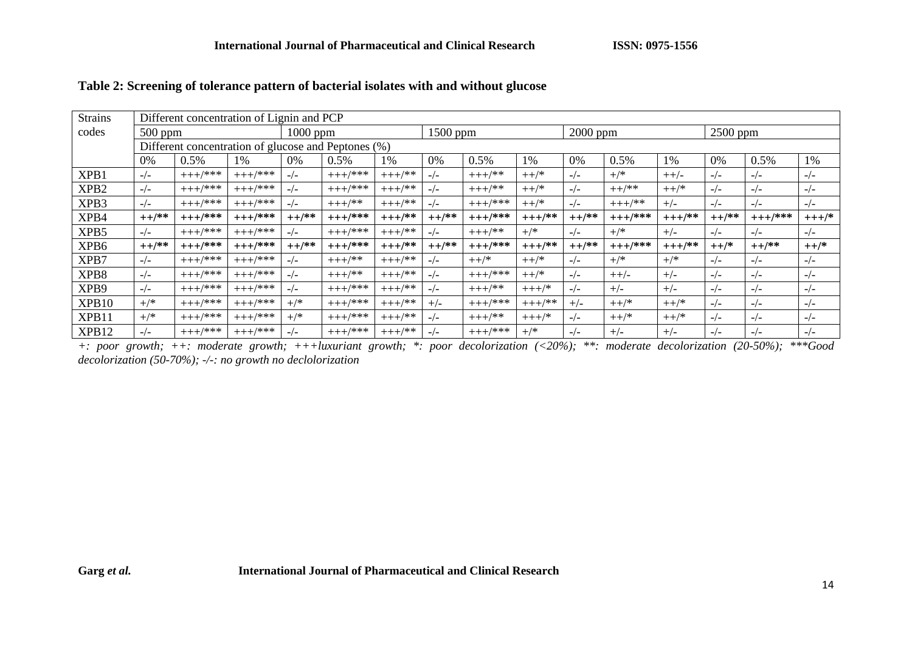| <b>Strains</b>   | Different concentration of Lignin and PCP |                                                     |            |          |                        |           |          |            |           |          |            |          |          |           |         |
|------------------|-------------------------------------------|-----------------------------------------------------|------------|----------|------------------------|-----------|----------|------------|-----------|----------|------------|----------|----------|-----------|---------|
| codes            | $500$ ppm                                 |                                                     |            |          | 1500 ppm<br>$1000$ ppm |           |          | $2000$ ppm |           |          | $2500$ ppm |          |          |           |         |
|                  |                                           | Different concentration of glucose and Peptones (%) |            |          |                        |           |          |            |           |          |            |          |          |           |         |
|                  | 0%                                        | 0.5%                                                | 1%         | 0%       | 0.5%                   | 1%        | 0%       | 0.5%       | 1%        | 0%       | 0.5%       | 1%       | 0%       | 0.5%      | 1%      |
| XPB1             | $-/-$                                     | $+++/****$                                          | $+++/***$  | $-/-$    | $+++/*$ **             | $+++/***$ | $-/-$    | $+++/$ **  | $++$ /*   | $-/-$    | $^{+/*}$   | $++/-$   | $-/-$    | $-/-$     | $-/-$   |
| XPB <sub>2</sub> | $-/-$                                     | $+++/*$ **                                          | $+++/***$  | $-/-$    | $+++/***$              | $+++/***$ | $-/-$    | $+++/$ **  | $++$ /*   | $-/-$    | $++$ /**   | $++$ /*  | $-/-$    | $-/-$     | $-/-$   |
| XPB3             | $-/-$                                     | $+++/****$                                          | $+++$ /*** | $-/-$    | $+++/$ **              | $+++/***$ | $-/-$    | $+++/****$ | $++$ /*   | $-/-$    | $+++/$ **  | $+/-$    | $-/-$    | $-/-$     | $-/-$   |
| XPB4             | $++$ /**                                  | $+++/***$                                           | $+++/***$  | $++$ /** | $+++/***$              | $+++/**$  | $++$ /** | $+++/***$  | $+++/**$  | $++$ /** | $+++/***$  | $+++/**$ | $++$ /** | $+++/***$ | $+++/*$ |
| XPB5             | $-/-$                                     | $+++/***$                                           | $+++/*$ ** | $-/-$    | $+++$ /***             | $+++/**$  | $-/-$    | $+++/$ **  | $+$ /*    | $-/-$    | $^{+/*}$   | $+/-$    | $-/-$    | $-/-$     | $-/-$   |
| XPB6             | $++$ /**                                  | $+++/***$                                           | $+++/***$  | $++$ /** | $+++/***$              | $+++/***$ | $++$ /** | $+++/***$  | $+++/**$  | $++$ /** | $+++/****$ | $+++/**$ | $++$ /*  | $++$ /**  | $++$ /* |
| XPB7             | $-/-$                                     | $+++/****$                                          | $+++/*$ ** | $-/-$    | $+++/$ **              | $+++/***$ | $-/-$    | $++$ /*    | $++$ /*   | $-/-$    | $^{+/*}$   | $^{+/*}$ | $-/-$    | $-/-$     | $-/-$   |
| XPB8             | $-/-$                                     | $+++/****$                                          | $+++/****$ | $-/-$    | $+++/$ **              | $+++/***$ | $-/-$    | $+++/***$  | $++$ /*   | $-/-$    | $++/-$     | $+/-$    | $-/-$    | $-/-$     | $-/-$   |
| XPB9             | $-/-$                                     | $+++/****$                                          | $+++/***$  | $-/-$    | $+++/*$ **             | $+++/***$ | $-/-$    | $+++/$ **  | $+++/*$   | $-/-$    | $+/-$      | $+/-$    | $-/-$    | $-/-$     | $-/-$   |
| XPB10            | $+$ /*                                    | $+++/***$                                           | $+++/***$  | $+/*$    | $+++/*$ **             | $+++/$ ** | $+/-$    | $+++/***$  | $+++/$ ** | $+/-$    | $++$ /*    | $++$ /*  | $-/-$    | $-/-$     | $-/-$   |
| XPB11            | $+$ /*                                    | $+++/*$ **                                          | $+++/*$ ** | $+$ /*   | $+++/*$ **             | $+++/***$ | $-/-$    | $+++/$ **  | $+++/*$   | $-/-$    | $++$ /*    | $++$ /*  | $-/-$    | $-/-$     | $-/-$   |
| XPB12            | $-/-$                                     | $+++/****$                                          | $+++/****$ | $-/-$    | $+++/****$             | $+++/***$ | $-/-$    | $+++/***$  | $+$ /*    | $-/-$    | $+/-$      | $+/-$    | $-/-$    | $-/-$     | $-/-$   |

#### **Table 2: Screening of tolerance pattern of bacterial isolates with and without glucose**

*+: poor growth; ++: moderate growth; +++luxuriant growth; \*: poor decolorization (<20%); \*\*: moderate decolorization (20-50%); \*\*\*Good decolorization (50-70%); -/-: no growth no declolorization*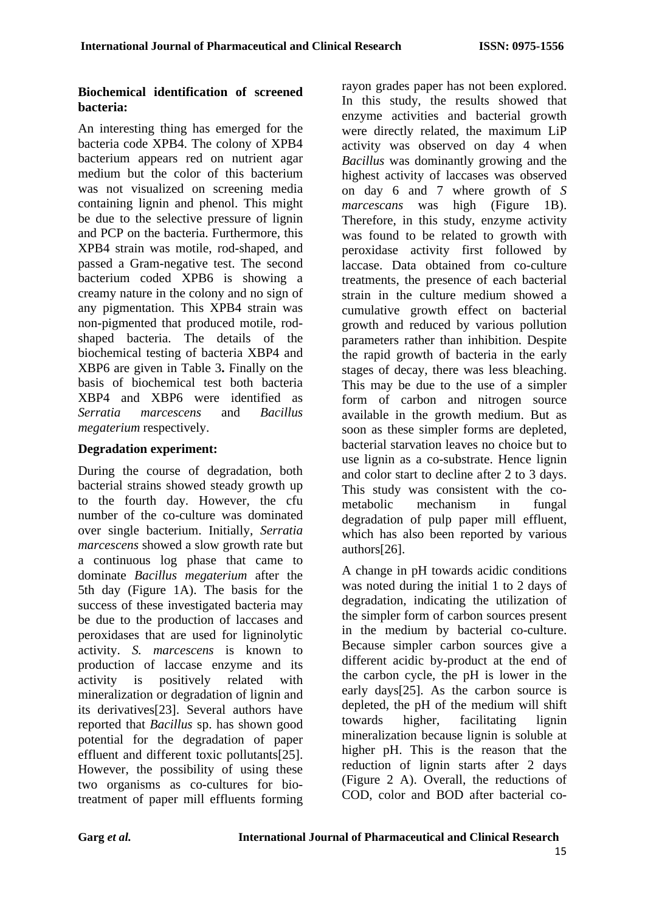### **Biochemical identification of screened bacteria:**

An interesting thing has emerged for the bacteria code XPB4. The colony of XPB4 bacterium appears red on nutrient agar medium but the color of this bacterium was not visualized on screening media containing lignin and phenol. This might be due to the selective pressure of lignin and PCP on the bacteria. Furthermore, this XPB4 strain was motile, rod-shaped, and passed a Gram-negative test. The second bacterium coded XPB6 is showing a creamy nature in the colony and no sign of any pigmentation. This XPB4 strain was non-pigmented that produced motile, rodshaped bacteria. The details of the biochemical testing of bacteria XBP4 and XBP6 are given in Table 3**.** Finally on the basis of biochemical test both bacteria XBP4 and XBP6 were identified as *Serratia marcescens* and *Bacillus megaterium* respectively.

### **Degradation experiment:**

During the course of degradation, both bacterial strains showed steady growth up to the fourth day. However, the cfu number of the co-culture was dominated over single bacterium. Initially, *Serratia marcescens* showed a slow growth rate but a continuous log phase that came to dominate *Bacillus megaterium* after the 5th day (Figure 1A). The basis for the success of these investigated bacteria may be due to the production of laccases and peroxidases that are used for ligninolytic activity. *S. marcescens* is known to production of laccase enzyme and its activity is positively related with mineralization or degradation of lignin and its derivatives[23]. Several authors have reported that *Bacillus* sp. has shown good potential for the degradation of paper effluent and different toxic pollutants<sup>[25]</sup>. However, the possibility of using these two organisms as co-cultures for biotreatment of paper mill effluents forming rayon grades paper has not been explored. In this study, the results showed that enzyme activities and bacterial growth were directly related, the maximum LiP activity was observed on day 4 when *Bacillus* was dominantly growing and the highest activity of laccases was observed on day 6 and 7 where growth of *S marcescans* was high (Figure 1B). Therefore, in this study, enzyme activity was found to be related to growth with peroxidase activity first followed by laccase. Data obtained from co-culture treatments, the presence of each bacterial strain in the culture medium showed a cumulative growth effect on bacterial growth and reduced by various pollution parameters rather than inhibition. Despite the rapid growth of bacteria in the early stages of decay, there was less bleaching. This may be due to the use of a simpler form of carbon and nitrogen source available in the growth medium. But as soon as these simpler forms are depleted, bacterial starvation leaves no choice but to use lignin as a co-substrate. Hence lignin and color start to decline after 2 to 3 days. This study was consistent with the cometabolic mechanism in fungal degradation of pulp paper mill effluent, which has also been reported by various authors[26].

A change in pH towards acidic conditions was noted during the initial 1 to 2 days of degradation, indicating the utilization of the simpler form of carbon sources present in the medium by bacterial co-culture. Because simpler carbon sources give a different acidic by-product at the end of the carbon cycle, the pH is lower in the early days[25]. As the carbon source is depleted, the pH of the medium will shift towards higher, facilitating lignin mineralization because lignin is soluble at higher pH. This is the reason that the reduction of lignin starts after 2 days (Figure 2 A). Overall, the reductions of COD, color and BOD after bacterial co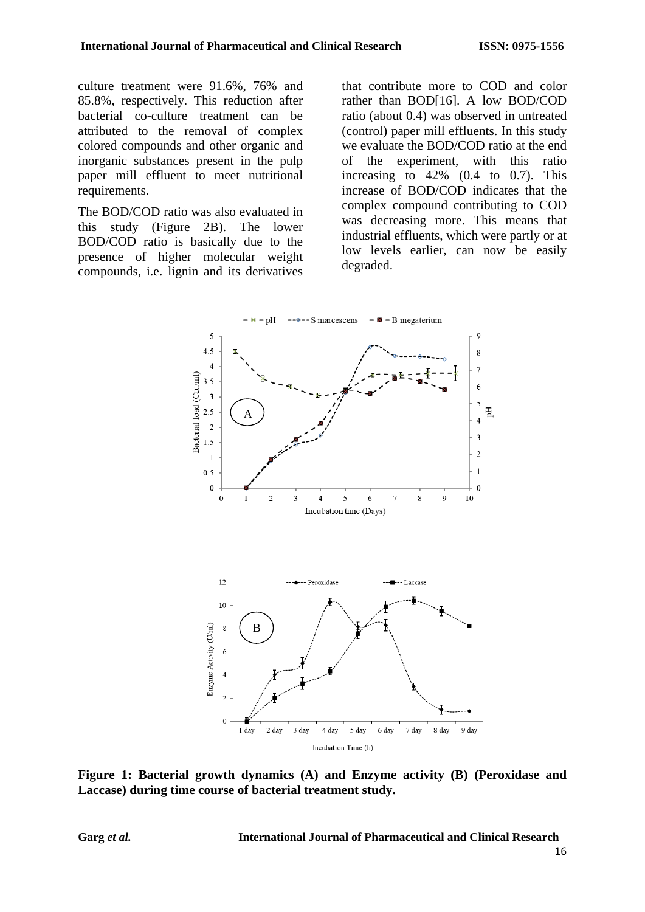culture treatment were 91.6%, 76% and 85.8%, respectively. This reduction after bacterial co-culture treatment can be attributed to the removal of complex colored compounds and other organic and inorganic substances present in the pulp paper mill effluent to meet nutritional requirements.

The BOD/COD ratio was also evaluated in this study (Figure 2B). The lower BOD/COD ratio is basically due to the presence of higher molecular weight compounds, i.e. lignin and its derivatives

that contribute more to COD and color rather than BOD[16]. A low BOD/COD ratio (about 0.4) was observed in untreated (control) paper mill effluents. In this study we evaluate the BOD/COD ratio at the end of the experiment, with this ratio increasing to 42% (0.4 to 0.7). This increase of BOD/COD indicates that the complex compound contributing to COD was decreasing more. This means that industrial effluents, which were partly or at low levels earlier, can now be easily degraded.



**Figure 1: Bacterial growth dynamics (A) and Enzyme activity (B) (Peroxidase and Laccase) during time course of bacterial treatment study.** 

**Garg** *et al.* **International Journal of Pharmaceutical and Clinical Research**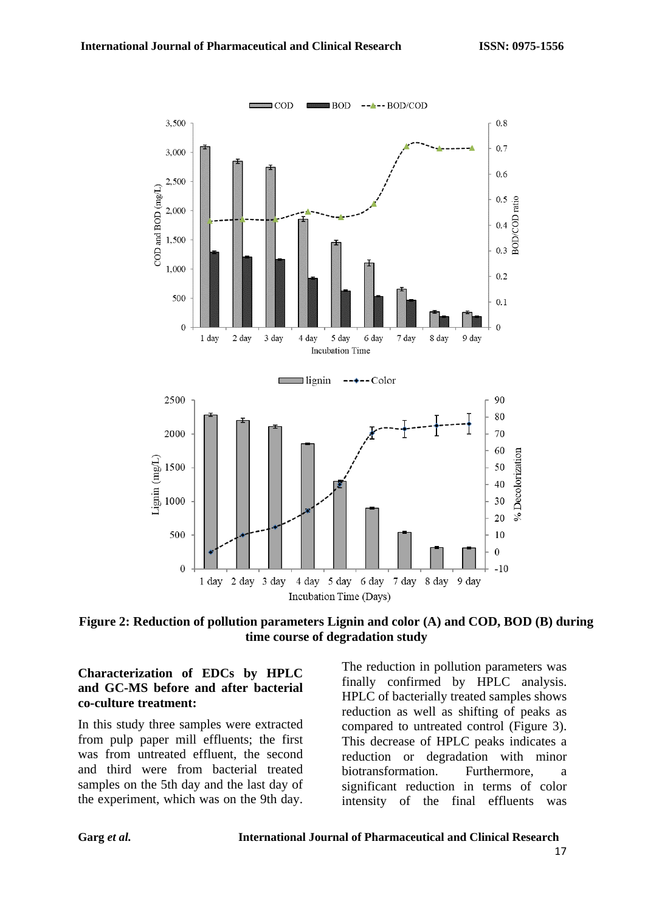

**Figure 2: Reduction of pollution parameters Lignin and color (A) and COD, BOD (B) during time course of degradation study**

#### **Characterization of EDCs by HPLC and GC-MS before and after bacterial co-culture treatment:**

In this study three samples were extracted from pulp paper mill effluents; the first was from untreated effluent, the second and third were from bacterial treated samples on the 5th day and the last day of the experiment, which was on the 9th day.

The reduction in pollution parameters was finally confirmed by HPLC analysis. HPLC of bacterially treated samples shows reduction as well as shifting of peaks as compared to untreated control (Figure 3). This decrease of HPLC peaks indicates a reduction or degradation with minor biotransformation. Furthermore, a significant reduction in terms of color intensity of the final effluents was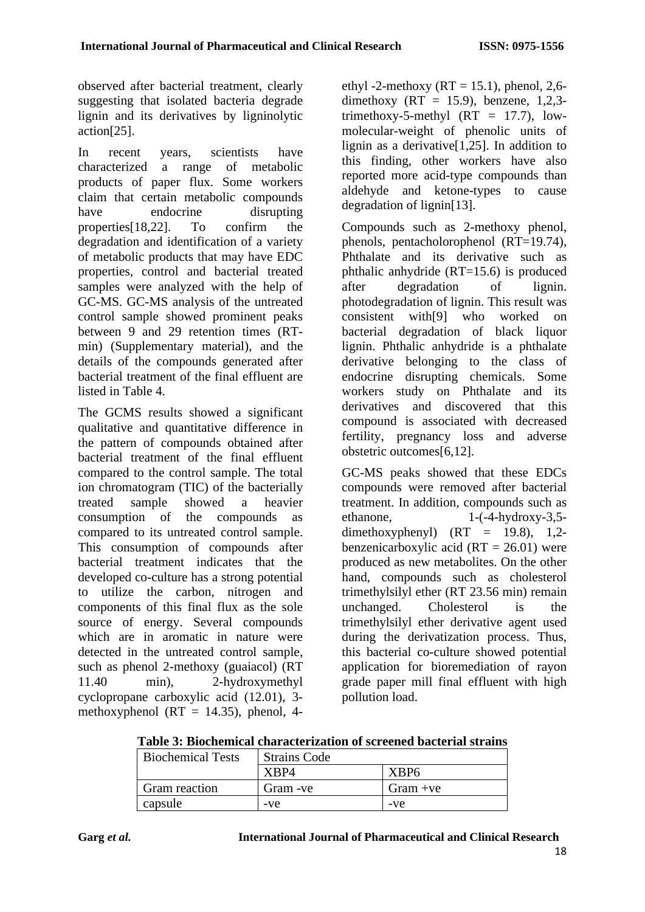observed after bacterial treatment, clearly suggesting that isolated bacteria degrade lignin and its derivatives by ligninolytic action[25].

In recent years, scientists have characterized a range of metabolic products of paper flux. Some workers claim that certain metabolic compounds have endocrine disrupting properties[18,22]. To confirm the degradation and identification of a variety of metabolic products that may have EDC properties, control and bacterial treated samples were analyzed with the help of GC-MS. GC-MS analysis of the untreated control sample showed prominent peaks between 9 and 29 retention times (RTmin) (Supplementary material), and the details of the compounds generated after bacterial treatment of the final effluent are listed in Table 4.

The GCMS results showed a significant qualitative and quantitative difference in the pattern of compounds obtained after bacterial treatment of the final effluent compared to the control sample. The total ion chromatogram (TIC) of the bacterially treated sample showed a heavier consumption of the compounds as compared to its untreated control sample. This consumption of compounds after bacterial treatment indicates that the developed co-culture has a strong potential to utilize the carbon, nitrogen and components of this final flux as the sole source of energy. Several compounds which are in aromatic in nature were detected in the untreated control sample, such as phenol 2-methoxy (guaiacol) (RT 11.40 min), 2-hydroxymethyl cyclopropane carboxylic acid (12.01), 3 methoxyphenol ( $RT = 14.35$ ), phenol, 4ethyl -2-methoxy ( $RT = 15.1$ ), phenol, 2,6dimethoxy (RT = 15.9), benzene,  $1,2,3$ trimethoxy-5-methyl  $(RT = 17.7)$ , lowmolecular-weight of phenolic units of lignin as a derivative[1,25]. In addition to this finding, other workers have also reported more acid-type compounds than aldehyde and ketone-types to cause degradation of lignin[13].

Compounds such as 2-methoxy phenol, phenols, pentacholorophenol (RT=19.74), Phthalate and its derivative such as phthalic anhydride (RT=15.6) is produced after degradation of lignin. photodegradation of lignin. This result was consistent with[9] who worked on bacterial degradation of black liquor lignin. Phthalic anhydride is a phthalate derivative belonging to the class of endocrine disrupting chemicals. Some workers study on Phthalate and its derivatives and discovered that this compound is associated with decreased fertility, pregnancy loss and adverse obstetric outcomes[6,12].

GC-MS peaks showed that these EDCs compounds were removed after bacterial treatment. In addition, compounds such as ethanone,  $1-(-4-hydroxy-3.5$ dimethoxyphenyl)  $(RT = 19.8), 1,2$ benzenicarboxylic acid  $(RT = 26.01)$  were produced as new metabolites. On the other hand, compounds such as cholesterol trimethylsilyl ether (RT 23.56 min) remain unchanged. Cholesterol is the trimethylsilyl ether derivative agent used during the derivatization process. Thus, this bacterial co-culture showed potential application for bioremediation of rayon grade paper mill final effluent with high pollution load.

18

| Table 3: Biochemical characterization of screened bacterial strains |
|---------------------------------------------------------------------|
|---------------------------------------------------------------------|

| <b>Biochemical Tests</b> | <b>Strains Code</b> |                  |  |  |  |
|--------------------------|---------------------|------------------|--|--|--|
|                          | XRP4                | XBP <sub>6</sub> |  |  |  |
| Gram reaction            | Gram - ve           | $Gram + ve$      |  |  |  |
| capsule                  | -ve                 | -ve              |  |  |  |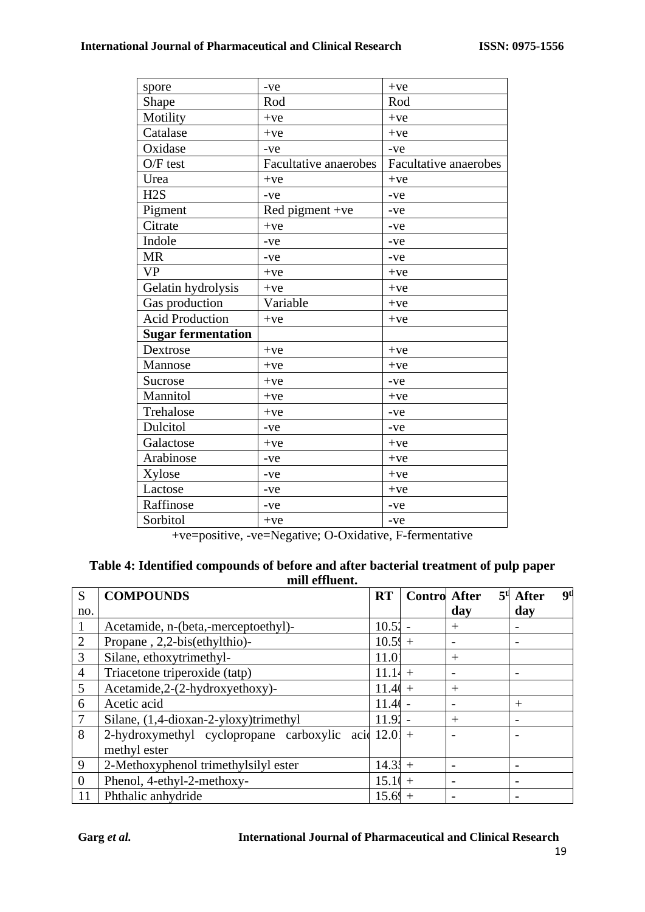| spore                             | -ve                                                       | $+ve$                           |
|-----------------------------------|-----------------------------------------------------------|---------------------------------|
| Shape                             | Rod                                                       | Rod                             |
| Motility                          | $+ve$                                                     | $+ve$                           |
| Catalase                          | $+ve$                                                     | $+ve$                           |
| Oxidase                           | $-ve$                                                     | $-ve$                           |
| $O/F$ test                        | Facultative anaerobes                                     | <b>Facultative anaerobes</b>    |
| Urea                              | $+ve$                                                     | $+ve$                           |
| H <sub>2</sub> S                  | $-ve$                                                     | $-ve$                           |
| Pigment                           | Red pigment + $ve$                                        | -ve                             |
| Citrate                           | $+ve$                                                     | -ve                             |
| Indole                            | -ve                                                       | -ve                             |
| <b>MR</b>                         | -ve                                                       | -ve                             |
| <b>VP</b>                         | $+ve$                                                     | $+ve$                           |
| Gelatin hydrolysis                | $+ve$                                                     | $+ve$                           |
| Gas production                    | Variable                                                  | $+ve$                           |
| <b>Acid Production</b>            | $+ve$                                                     | $+ve$                           |
| <b>Sugar fermentation</b>         |                                                           |                                 |
| Dextrose                          | $+ve$                                                     | $+ve$                           |
| Mannose                           | $+ve$                                                     | $+ve$                           |
| Sucrose                           | $+ve$                                                     | -ve                             |
| Mannitol                          | $+ve$                                                     | $+ve$                           |
| Trehalose                         | $+ve$                                                     | -ve                             |
| Dulcitol                          | -ve                                                       | -ve                             |
| Galactose                         | $+ve$                                                     | $+ve$                           |
| Arabinose                         | -ve                                                       | $+ve$                           |
| Xylose                            | -ve                                                       | $+ve$                           |
| Lactose                           | -ve                                                       | $+ve$                           |
| Raffinose                         | -ve                                                       | $-ve$                           |
| Sorbitol<br>$\bullet$ . $\bullet$ | $+ve$<br>$\sim$ 100 $\sim$<br>$\sim$ $\sim$ $\sim$ $\sim$ | $-ve$<br>$\sim$<br>$\mathbf{r}$ |

+ve=positive, -ve=Negative; O-Oxidative, F-fermentative

| Table 4: Identified compounds of before and after bacterial treatment of pulp paper |
|-------------------------------------------------------------------------------------|
| mill effluent.                                                                      |

| S              | <b>COMPOUNDS</b>                                      | <b>RT</b> | <b>Contro After</b> |                          | <b>gt</b><br>$5t$ After |
|----------------|-------------------------------------------------------|-----------|---------------------|--------------------------|-------------------------|
| no.            |                                                       |           |                     | day                      | day                     |
| $\mathbf{1}$   | Acetamide, n-(beta,-merceptoethyl)-                   | $10.51 -$ |                     | $+$                      |                         |
| $\overline{2}$ | Propane, 2,2-bis(ethylthio)-                          | $10.5\pm$ |                     |                          |                         |
| $\overline{3}$ | Silane, ethoxytrimethyl-                              | 11.0      |                     | $^{+}$                   |                         |
| $\overline{4}$ | Triacetone triperoxide (tatp)                         | $11.14 +$ |                     | $\overline{\phantom{0}}$ |                         |
| 5              | Acetamide, 2-(2-hydroxyethoxy)-                       | $11.40 +$ |                     | $^{+}$                   |                         |
| 6              | Acetic acid                                           | 11.4      |                     |                          | $^{+}$                  |
| $\overline{7}$ | Silane, (1,4-dioxan-2-yloxy)trimethyl                 | 11.91     |                     | $^{+}$                   |                         |
| 8              | 2-hydroxymethyl cyclopropane carboxylic acid $12.0$ + |           |                     |                          |                         |
|                | methyl ester                                          |           |                     |                          |                         |
| 9              | 2-Methoxyphenol trimethylsilyl ester                  | $14.31 +$ |                     |                          |                         |
| $\overline{0}$ | Phenol, 4-ethyl-2-methoxy-                            | 15.10     | $+$                 |                          |                         |
| 11             | Phthalic anhydride                                    | 15.69     |                     |                          |                         |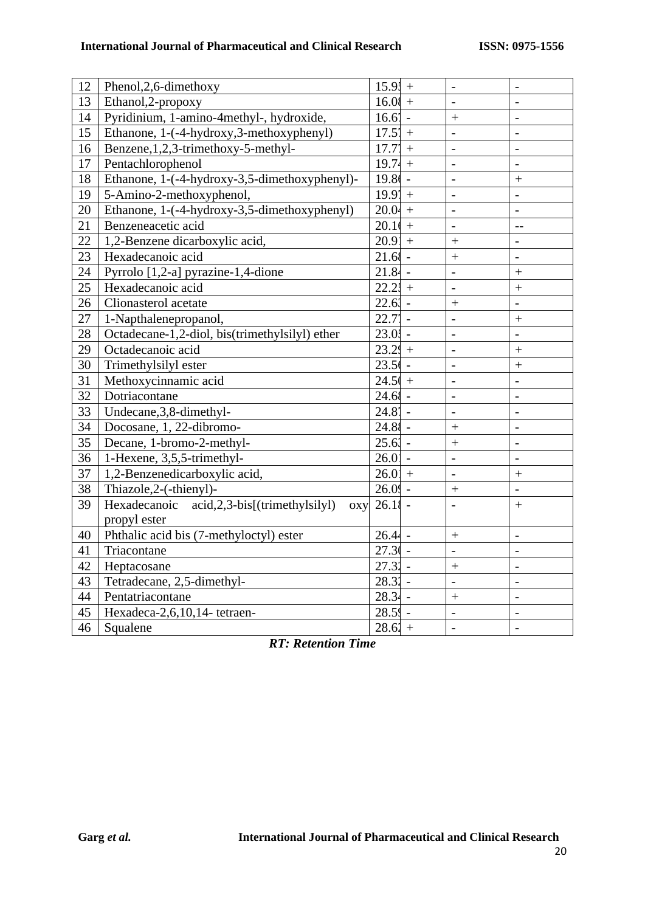| 12 | Phenol, 2, 6-dimethoxy                                 | $15.9! +$         |        | $\frac{1}{2}$            | $\frac{1}{2}$  |
|----|--------------------------------------------------------|-------------------|--------|--------------------------|----------------|
| 13 | Ethanol, 2-propoxy                                     | $16.01 +$         |        | $\overline{a}$           | $\overline{a}$ |
| 14 | Pyridinium, 1-amino-4methyl-, hydroxide,               | $16.6' -$         |        | $\boldsymbol{+}$         | $\overline{a}$ |
| 15 | Ethanone, 1-(-4-hydroxy, 3-methoxyphenyl)              | $17.5' +$         |        | $\overline{a}$           | $\overline{a}$ |
| 16 | Benzene, 1, 2, 3-trimethoxy-5-methyl-                  | 17.7'             | $+$    | $\overline{a}$           | $\overline{a}$ |
| 17 | Pentachlorophenol                                      | $19.74 +$         |        | $\overline{\phantom{0}}$ | $\overline{a}$ |
| 18 | Ethanone, 1-(-4-hydroxy-3,5-dimethoxyphenyl)-          | 19.8 <sub>1</sub> |        | $\overline{a}$           | $+$            |
| 19 | 5-Amino-2-methoxyphenol,                               | $19.9' +$         |        | $\overline{\phantom{0}}$ | $\overline{a}$ |
| 20 | Ethanone, 1-(-4-hydroxy-3,5-dimethoxyphenyl)           | $20.04 +$         |        | $\overline{a}$           | $\overline{a}$ |
| 21 | Benzeneacetic acid                                     | $20.10 +$         |        | $\overline{a}$           | $-$            |
| 22 | 1,2-Benzene dicarboxylic acid,                         | $20.91 +$         |        | $\ddot{}$                | $\overline{a}$ |
| 23 | Hexadecanoic acid                                      | $21.68 -$         |        | $\ddot{+}$               | $\overline{a}$ |
| 24 | Pyrrolo [1,2-a] pyrazine-1,4-dione                     | $21.84 -$         |        | $\overline{\phantom{0}}$ | $\ddot{}$      |
| 25 | Hexadecanoic acid                                      | $22.21 +$         |        | $\frac{1}{2}$            | $\ddot{}$      |
| 26 | Clionasterol acetate                                   | $22.61 -$         |        |                          | $\overline{a}$ |
| 27 | 1-Napthalenepropanol,                                  | 22.7'             | $\sim$ | $\overline{a}$           | $\ddot{}$      |
| 28 | Octadecane-1,2-diol, bis(trimethylsilyl) ether         | $23.01 -$         |        | $\overline{a}$           | $\overline{a}$ |
| 29 | Octadecanoic acid                                      | $23.29 +$         |        | $\overline{a}$           | $\ddot{}$      |
| 30 | Trimethylsilyl ester                                   | $23.56 -$         |        | $\overline{a}$           | $^{+}$         |
| 31 | Methoxycinnamic acid                                   | $24.5( +$         |        | $\overline{a}$           | $\overline{a}$ |
| 32 | Dotriacontane                                          | $24.6$ -          |        | $\overline{a}$           | $\overline{a}$ |
| 33 | Undecane, 3, 8-dimethyl-                               | $24.8'$ -         |        | $\overline{a}$           | $\overline{a}$ |
| 34 | Docosane, 1, 22-dibromo-                               | $24.81 -$         |        | $\qquad \qquad +$        | $\overline{a}$ |
| 35 | Decane, 1-bromo-2-methyl-                              | $25.61 -$         |        | $\ddot{}$                | $\overline{a}$ |
| 36 | 1-Hexene, 3,5,5-trimethyl-                             | $26.0$            |        | $\overline{a}$           | $\overline{a}$ |
| 37 | 1,2-Benzenedicarboxylic acid,                          | $26.01 +$         |        | $\qquad \qquad -$        | $\! + \!$      |
| 38 | Thiazole, 2-(-thienyl)-                                | $26.09 -$         |        | $\boldsymbol{+}$         | $\overline{a}$ |
| 39 | acid, 2, 3-bis[(trimethylsilyl)<br>Hexadecanoic<br>oxy | $26.11 -$         |        | $\overline{a}$           | $+$            |
|    | propyl ester                                           |                   |        |                          |                |
| 40 | Phthalic acid bis (7-methyloctyl) ester                | $26.44 -$         |        | $\boldsymbol{+}$         | $\overline{a}$ |
| 41 | Triacontane                                            | $27.30 -$         |        | $\overline{a}$           | $\overline{a}$ |
| 42 | Heptacosane                                            | $27.31 -$         |        | $\ddot{}$                | $\overline{a}$ |
| 43 | Tetradecane, 2,5-dimethyl-                             | $28.31 -$         |        | $\overline{a}$           | $\overline{a}$ |
| 44 | Pentatriacontane                                       | $28.34 -$         |        | $\ddot{}$                | $\overline{a}$ |
| 45 | Hexadeca-2,6,10,14- tetraen-                           | $28.59 -$         |        | $\overline{a}$           | $\overline{a}$ |
| 46 | Squalene                                               | $28.61 +$         |        | $\overline{a}$           | $\overline{a}$ |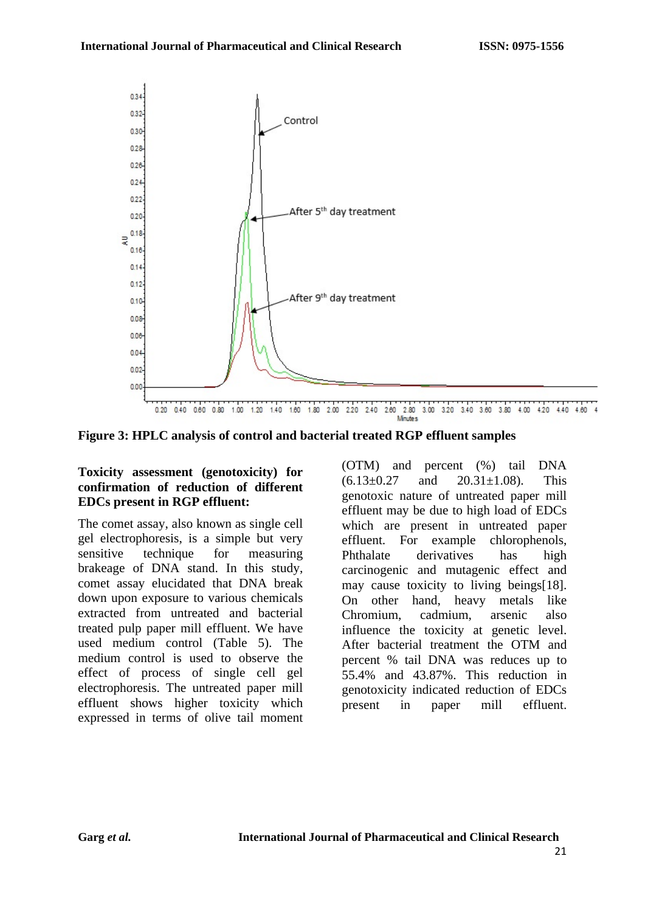

**Figure 3: HPLC analysis of control and bacterial treated RGP effluent samples**

#### **Toxicity assessment (genotoxicity) for confirmation of reduction of different EDCs present in RGP effluent:**

The comet assay, also known as single cell gel electrophoresis, is a simple but very sensitive technique for measuring brakeage of DNA stand. In this study, comet assay elucidated that DNA break down upon exposure to various chemicals extracted from untreated and bacterial treated pulp paper mill effluent. We have used medium control (Table 5). The medium control is used to observe the effect of process of single cell gel electrophoresis. The untreated paper mill effluent shows higher toxicity which expressed in terms of olive tail moment (OTM) and percent (%) tail DNA  $(6.13\pm0.27$  and  $20.31\pm1.08$ ). This genotoxic nature of untreated paper mill effluent may be due to high load of EDCs which are present in untreated paper effluent. For example chlorophenols, Phthalate derivatives has high carcinogenic and mutagenic effect and may cause toxicity to living beings[18]. On other hand, heavy metals like Chromium, cadmium, arsenic also influence the toxicity at genetic level. After bacterial treatment the OTM and percent % tail DNA was reduces up to 55.4% and 43.87%. This reduction in genotoxicity indicated reduction of EDCs present in paper mill effluent.

21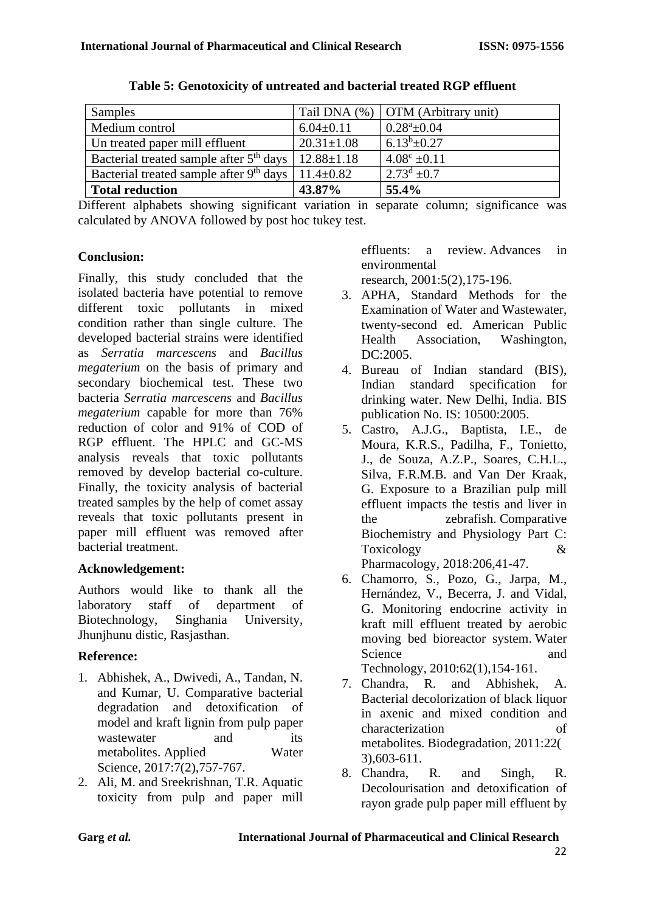| Samples                                             |                  | Tail DNA (%)   OTM (Arbitrary unit) |
|-----------------------------------------------------|------------------|-------------------------------------|
| Medium control                                      | $6.04 \pm 0.11$  | $0.28^a \pm 0.04$                   |
| Un treated paper mill effluent                      | $20.31 \pm 1.08$ | $6.13^{b} \pm 0.27$                 |
| Bacterial treated sample after 5 <sup>th</sup> days | $12.88 \pm 1.18$ | $4.08^{\circ}$ ±0.11                |
| Bacterial treated sample after 9 <sup>th</sup> days | $11.4 \pm 0.82$  | $2.73^{\rm d}$ ±0.7                 |
| <b>Total reduction</b>                              | 43.87%           | 55.4%                               |

**Table 5: Genotoxicity of untreated and bacterial treated RGP effluent**

Different alphabets showing significant variation in separate column; significance was calculated by ANOVA followed by post hoc tukey test.

### **Conclusion:**

Finally, this study concluded that the isolated bacteria have potential to remove different toxic pollutants in mixed condition rather than single culture. The developed bacterial strains were identified as *Serratia marcescens* and *Bacillus megaterium* on the basis of primary and secondary biochemical test. These two bacteria *Serratia marcescens* and *Bacillus megaterium* capable for more than 76% reduction of color and 91% of COD of RGP effluent. The HPLC and GC-MS analysis reveals that toxic pollutants removed by develop bacterial co-culture. Finally, the toxicity analysis of bacterial treated samples by the help of comet assay reveals that toxic pollutants present in paper mill effluent was removed after bacterial treatment.

### **Acknowledgement:**

Authors would like to thank all the laboratory staff of department of Biotechnology, Singhania University, Jhunjhunu distic, Rasjasthan.

### **Reference:**

- 1. Abhishek, A., Dwivedi, A., Tandan, N. and Kumar, U. Comparative bacterial degradation and detoxification of model and kraft lignin from pulp paper wastewater and its metabolites. Applied Water Science, 2017:7(2), 757-767.
- 2. Ali, M. and Sreekrishnan, T.R. Aquatic toxicity from pulp and paper mill

effluents: a review. Advances in environmental

research, 2001:5(2),175-196.

- 3. APHA, Standard Methods for the Examination of Water and Wastewater, twenty-second ed. American Public Health Association, Washington, DC:2005.
- 4. Bureau of Indian standard (BIS), Indian standard specification for drinking water. New Delhi, India. BIS publication No. IS: 10500:2005.
- 5. Castro, A.J.G., Baptista, I.E., de Moura, K.R.S., Padilha, F., Tonietto, J., de Souza, A.Z.P., Soares, C.H.L., Silva, F.R.M.B. and Van Der Kraak, G. Exposure to a Brazilian pulp mill effluent impacts the testis and liver in the zebrafish. Comparative Biochemistry and Physiology Part C: Toxicology & Pharmacology, 2018:206,41-47.
- 6. Chamorro, S., Pozo, G., Jarpa, M., Hernández, V., Becerra, J. and Vidal, G. Monitoring endocrine activity in kraft mill effluent treated by aerobic moving bed bioreactor system. Water Science and and Technology, 2010:62(1),154-161.
- 7. Chandra, R. and Abhishek, A. Bacterial decolorization of black liquor in axenic and mixed condition and characterization of metabolites. Biodegradation, 2011:22( 3),603-611.
- 8. Chandra, R. and Singh, R. Decolourisation and detoxification of rayon grade pulp paper mill effluent by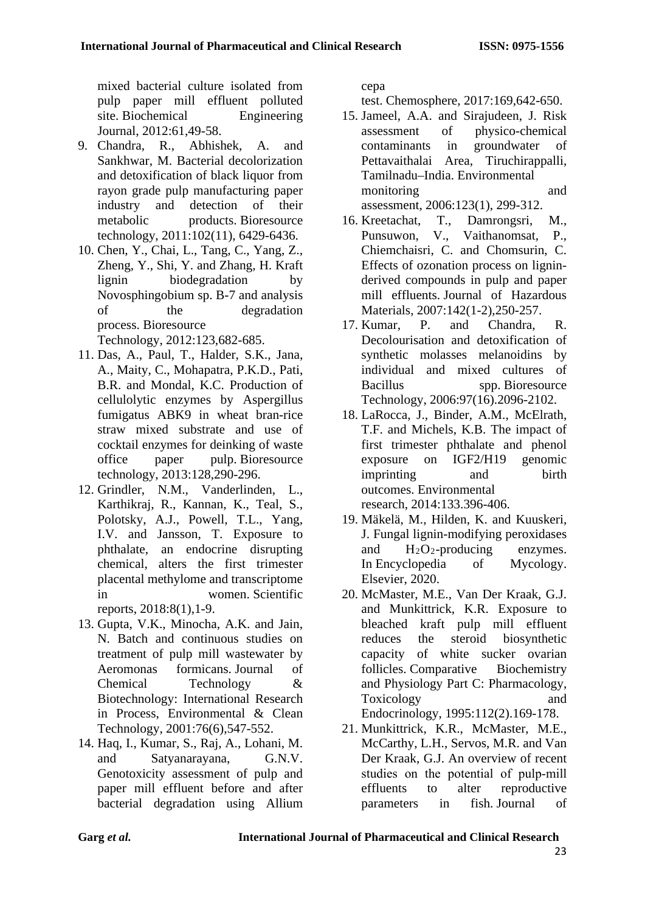mixed bacterial culture isolated from pulp paper mill effluent polluted site. Biochemical Engineering Journal, 2012:61,49-58.

- 9. Chandra, R., Abhishek, A. and Sankhwar, M. Bacterial decolorization and detoxification of black liquor from rayon grade pulp manufacturing paper industry and detection of their metabolic products. Bioresource technology, 2011:102(11), 6429-6436.
- 10. Chen, Y., Chai, L., Tang, C., Yang, Z., Zheng, Y., Shi, Y. and Zhang, H. Kraft lignin biodegradation by Novosphingobium sp. B-7 and analysis of the degradation process. Bioresource Technology, 2012:123,682-685.
- 11. Das, A., Paul, T., Halder, S.K., Jana, A., Maity, C., Mohapatra, P.K.D., Pati, B.R. and Mondal, K.C. Production of cellulolytic enzymes by Aspergillus fumigatus ABK9 in wheat bran-rice straw mixed substrate and use of cocktail enzymes for deinking of waste office paper pulp. Bioresource technology, 2013:128,290-296.
- 12. Grindler, N.M., Vanderlinden, L., Karthikraj, R., Kannan, K., Teal, S., Polotsky, A.J., Powell, T.L., Yang, I.V. and Jansson, T. Exposure to phthalate, an endocrine disrupting chemical, alters the first trimester placental methylome and transcriptome in women. Scientific reports, 2018:8(1),1-9.
- 13. Gupta, V.K., Minocha, A.K. and Jain, N. Batch and continuous studies on treatment of pulp mill wastewater by Aeromonas formicans. Journal of Chemical Technology & Biotechnology: International Research in Process, Environmental & Clean Technology, 2001:76(6),547-552.
- 14. Haq, I., Kumar, S., Raj, A., Lohani, M. and Satyanarayana, G.N.V. Genotoxicity assessment of pulp and paper mill effluent before and after bacterial degradation using Allium

cepa

test. Chemosphere, 2017:169,642-650.

- 15. Jameel, A.A. and Sirajudeen, J. Risk assessment of physico-chemical contaminants in groundwater of Pettavaithalai Area, Tiruchirappalli, Tamilnadu–India. Environmental monitoring and assessment, 2006:123(1), 299-312.
- 16. Kreetachat, T., Damrongsri, M., Punsuwon, V., Vaithanomsat, P., Chiemchaisri, C. and Chomsurin, C. Effects of ozonation process on ligninderived compounds in pulp and paper mill effluents. Journal of Hazardous Materials, 2007:142(1-2),250-257.
- 17. Kumar, P. and Chandra, R. Decolourisation and detoxification of synthetic molasses melanoidins by individual and mixed cultures of Bacillus spp. Bioresource Technology, 2006:97(16).2096-2102.
- 18. LaRocca, J., Binder, A.M., McElrath, T.F. and Michels, K.B. The impact of first trimester phthalate and phenol exposure on IGF2/H19 genomic imprinting and birth outcomes. Environmental research, 2014:133.396-406.
- 19. Mäkelä, M., Hilden, K. and Kuuskeri, J. Fungal lignin-modifying peroxidases and H2O2-producing enzymes. In Encyclopedia of Mycology. Elsevier, 2020.
- 20. McMaster, M.E., Van Der Kraak, G.J. and Munkittrick, K.R. Exposure to bleached kraft pulp mill effluent reduces the steroid biosynthetic capacity of white sucker ovarian follicles. Comparative Biochemistry and Physiology Part C: Pharmacology, Toxicology and Endocrinology, 1995:112(2).169-178.
- 21. Munkittrick, K.R., McMaster, M.E., McCarthy, L.H., Servos, M.R. and Van Der Kraak, G.J. An overview of recent studies on the potential of pulp‐mill effluents to alter reproductive parameters in fish. Journal of